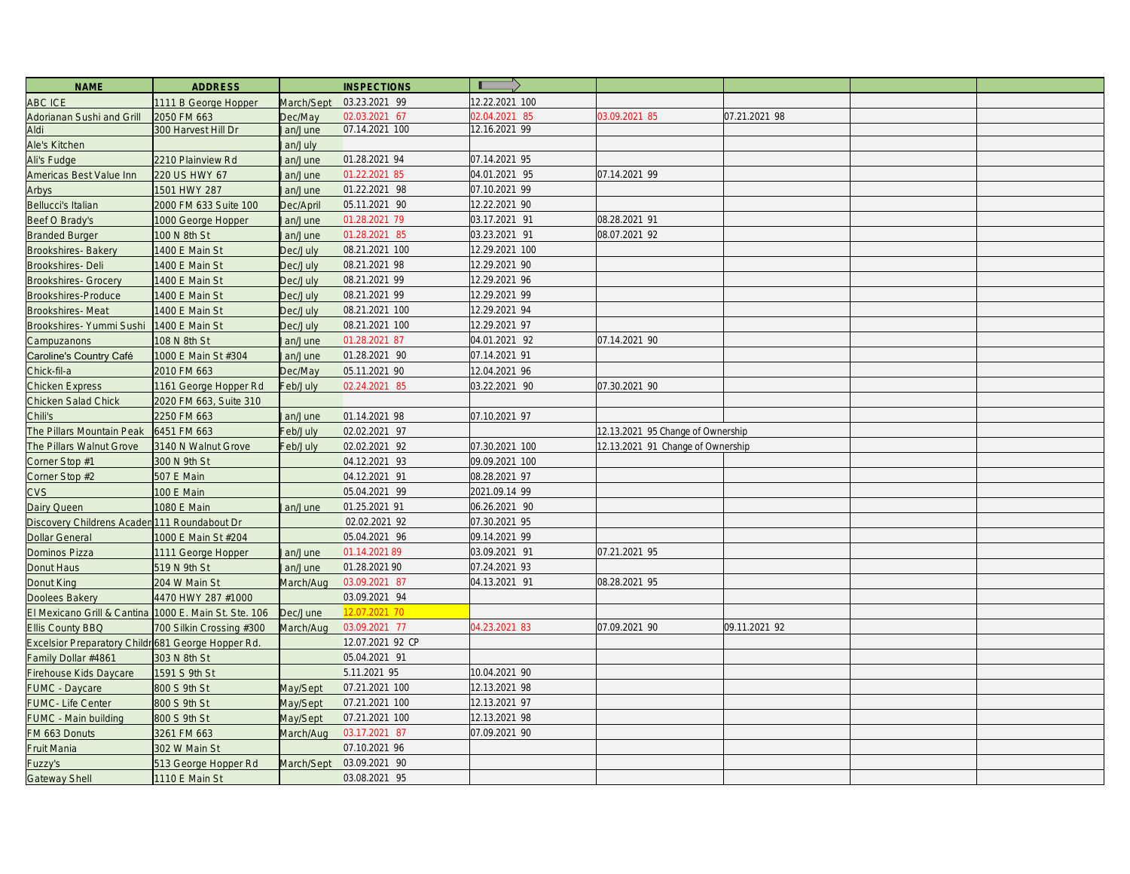| <b>NAME</b>                                        | <b>ADDRESS</b>            |                  | <b>INSPECTIONS</b> | $\blacksquare$ |                                   |               |  |
|----------------------------------------------------|---------------------------|------------------|--------------------|----------------|-----------------------------------|---------------|--|
| ABC ICE                                            | 1111 B George Hopper      | March/Sept       | 03.23.2021 99      | 12.22.2021 100 |                                   |               |  |
| Adorianan Sushi and Grill                          | 2050 FM 663               | Dec/May          | 02.03.2021 67      | 02.04.2021 85  | 03.09.2021 85                     | 07.21.2021 98 |  |
| Aldi                                               | 300 Harvest Hill Dr       | lan/June         | 07.14.2021 100     | 12.16.2021 99  |                                   |               |  |
| Ale's Kitchen                                      |                           | Jan/July         |                    |                |                                   |               |  |
| Ali's Fudge                                        | 2210 Plainview Rd         | lan/June         | 01.28.2021 94      | 07.14.2021 95  |                                   |               |  |
| Americas Best Value Inn                            | 220 US HWY 67             | an/June          | 01.22.2021 85      | 04.01.2021 95  | 07.14.2021 99                     |               |  |
| Arbys                                              | 1501 HWY 287              | an/June          | 01.22.2021 98      | 07.10.2021 99  |                                   |               |  |
| Bellucci's Italian                                 | 2000 FM 633 Suite 100     | Dec/April        | 05.11.2021 90      | 12.22.2021 90  |                                   |               |  |
| Beef O Brady's                                     | 1000 George Hopper        | Jan/June         | 01.28.2021 79      | 03.17.2021 91  | 08.28.2021 91                     |               |  |
| <b>Branded Burger</b>                              | 100 N 8th St              | lan/June         | 01.28.2021 85      | 03.23.2021 91  | 08.07.2021 92                     |               |  |
| <b>Brookshires-Bakery</b>                          | 1400 E Main St            | Dec/July         | 08.21.2021 100     | 12.29.2021 100 |                                   |               |  |
| Brookshires-Deli                                   | 1400 E Main St            | Dec/July         | 08.21.2021 98      | 12.29.2021 90  |                                   |               |  |
| <b>Brookshires- Grocery</b>                        | 1400 E Main St            | Dec/July         | 08.21.2021 99      | 12.29.2021 96  |                                   |               |  |
| Brookshires-Produce                                | 1400 E Main St            | Dec/July         | 08.21.2021 99      | 12.29.2021 99  |                                   |               |  |
| Brookshires-Meat                                   | 1400 E Main St            | Dec/July         | 08.21.2021 100     | 12.29.2021 94  |                                   |               |  |
| Brookshires- Yummi Sushi                           | 1400 E Main St            | Dec/July         | 08.21.2021 100     | 12.29.2021 97  |                                   |               |  |
| Campuzanons                                        | 108 N 8th St              | lan/June         | 01.28.2021 87      | 04.01.2021 92  | 07.14.2021 90                     |               |  |
| Caroline's Country Café                            | 1000 E Main St #304       | lan/June         | 01.28.2021 90      | 07.14.2021 91  |                                   |               |  |
| Chick-fil-a                                        | 2010 FM 663               | Dec/May          | 05.11.2021 90      | 12.04.2021 96  |                                   |               |  |
| <b>Chicken Express</b>                             | 1161 George Hopper Rd     | Feb/July         | 02.24.2021 85      | 03.22.2021 90  | 07.30.2021 90                     |               |  |
| Chicken Salad Chick                                | 2020 FM 663, Suite 310    |                  |                    |                |                                   |               |  |
| Chili's                                            | 2250 FM 663               | lan/June         | 01.14.2021 98      | 07.10.2021 97  |                                   |               |  |
| The Pillars Mountain Peak                          | 6451 FM 663               | Feb/July         | 02.02.2021 97      |                | 12.13.2021 95 Change of Ownership |               |  |
| The Pillars Walnut Grove                           | 3140 N Walnut Grove       | Feb/July         | 02.02.2021 92      | 07.30.2021 100 | 12.13.2021 91 Change of Ownership |               |  |
| Corner Stop #1                                     | 300 N 9th St              |                  | 04.12.2021 93      | 09.09.2021 100 |                                   |               |  |
| Corner Stop #2                                     | 507 E Main                |                  | 04.12.2021 91      | 08.28.2021 97  |                                   |               |  |
| CVS                                                | 100 E Main                |                  | 05.04.2021 99      | 2021.09.14 99  |                                   |               |  |
| Dairy Queen                                        | 1080 E Main               | an/June          | 01.25.2021 91      | 06.26.2021 90  |                                   |               |  |
| Discovery Childrens Acaden 111 Roundabout Dr       |                           |                  | 02.02.2021 92      | 07.30.2021 95  |                                   |               |  |
| <b>Dollar General</b>                              | 1000 E Main St #204       |                  | 05.04.2021 96      | 09.14.2021 99  |                                   |               |  |
| Dominos Pizza                                      | 1111 George Hopper        | Jan/June         | 01.14.2021 89      | 03.09.2021 91  | 07.21.2021 95                     |               |  |
| Donut Haus                                         | 519 N 9th St              | lan/June         | 01.28.2021 90      | 07.24.2021 93  |                                   |               |  |
| Donut King                                         | 204 W Main St             | <b>Jarch/Aug</b> | 03.09.2021 87      | 04.13.2021 91  | 08.28.2021 95                     |               |  |
| Doolees Bakery                                     | 4470 HWY 287 #1000        |                  | 03.09.2021 94      |                |                                   |               |  |
| El Mexicano Grill & Cantina                        | 1000 E. Main St. Ste. 106 | Dec/June         | 12.07.2021 70      |                |                                   |               |  |
| <b>Ellis County BBQ</b>                            | 700 Silkin Crossing #300  | March/Aug        | 03.09.2021 77      | 04.23.2021 83  | 07.09.2021 90                     | 09.11.2021 92 |  |
| Excelsior Preparatory Childr 681 George Hopper Rd. |                           |                  | 12.07.2021 92 CP   |                |                                   |               |  |
| Family Dollar #4861                                | 303 N 8th St              |                  | 05.04.2021 91      |                |                                   |               |  |
| Firehouse Kids Daycare                             | 1591 S 9th St             |                  | 5.11.2021 95       | 10.04.2021 90  |                                   |               |  |
| FUMC - Daycare                                     | 800 S 9th St              | May/Sept         | 07.21.2021 100     | 12.13.2021 98  |                                   |               |  |
| <b>FUMC-Life Center</b>                            | 800 S 9th St              | May/Sept         | 07.21.2021 100     | 12.13.2021 97  |                                   |               |  |
| FUMC - Main building                               | 800 S 9th St              | May/Sept         | 07.21.2021 100     | 12.13.2021 98  |                                   |               |  |
| FM 663 Donuts                                      | 3261 FM 663               | March/Aug        | 03.17.2021 87      | 07.09.2021 90  |                                   |               |  |
| Fruit Mania                                        | 302 W Main St             |                  | 07.10.2021 96      |                |                                   |               |  |
| Fuzzy's                                            | 513 George Hopper Rd      | March/Sept       | 03.09.2021 90      |                |                                   |               |  |
| <b>Gateway Shell</b>                               | 1110 E Main St            |                  | 03.08.2021 95      |                |                                   |               |  |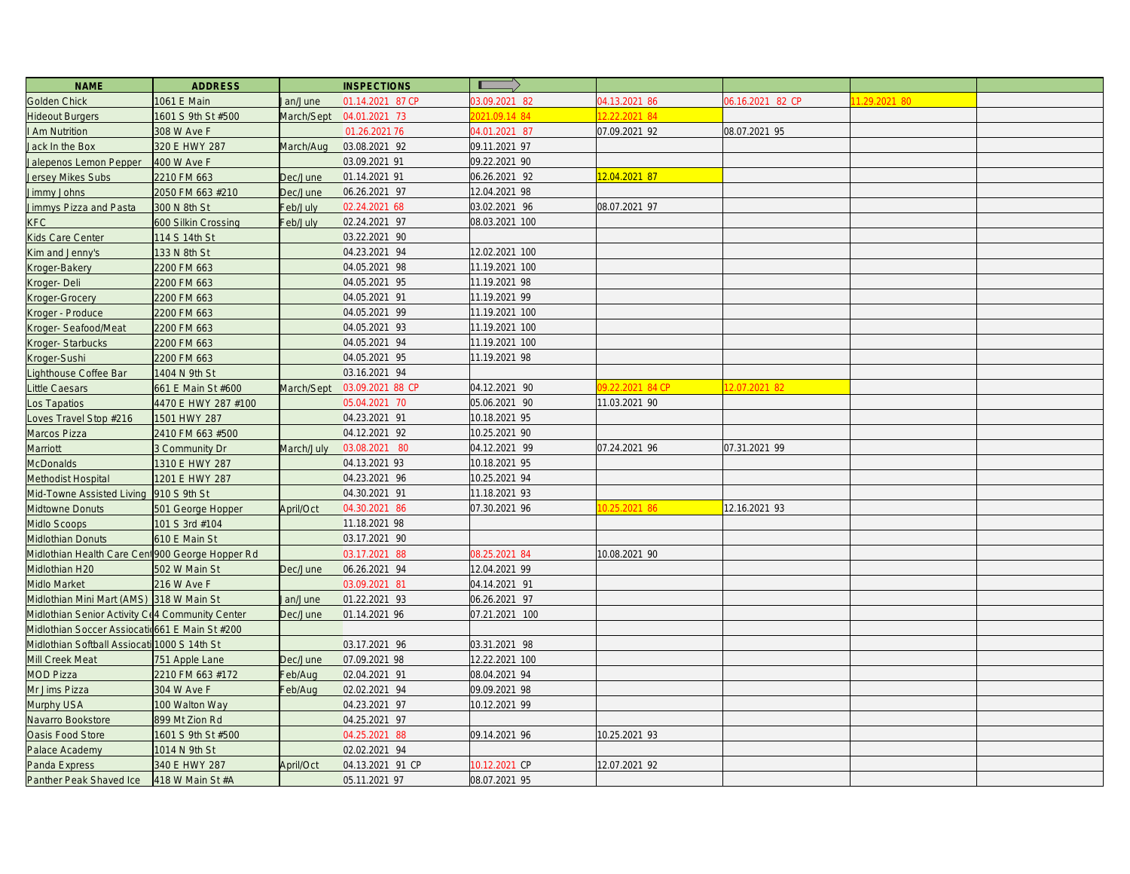| <b>NAME</b>                                      | <b>ADDRESS</b>        |            | <b>INSPECTIONS</b> |                |                  |                  |              |  |
|--------------------------------------------------|-----------------------|------------|--------------------|----------------|------------------|------------------|--------------|--|
| Golden Chick                                     | 1061 E Main           | lan/June   | 01.14.2021 87 CP   | 03.09.2021 82  | 04.13.2021 86    | 06.16.2021 82 CP | 1.29.2021 80 |  |
| <b>Hideout Burgers</b>                           | 1601 S 9th St #500    | March/Sept | 04.01.2021 73      | 021.09.14 84   | 2.22.2021 84     |                  |              |  |
| I Am Nutrition                                   | 308 W Ave F           |            | 01.26.2021 76      | 04.01.2021 87  | 07.09.2021 92    | 08.07.2021 95    |              |  |
| Jack In the Box                                  | 320 E HWY 287         | March/Aug  | 03.08.2021 92      | 09.11.2021 97  |                  |                  |              |  |
| Jalepenos Lemon Pepper                           | 400 W Ave F           |            | 03.09.2021 91      | 09.22.2021 90  |                  |                  |              |  |
| Jersey Mikes Subs                                | 2210 FM 663           | Dec/June   | 01.14.2021 91      | 06.26.2021 92  | 2.04.2021 87     |                  |              |  |
| Jimmy Johns                                      | 2050 FM 663 #210      | Dec/June   | 06.26.2021 97      | 12.04.2021 98  |                  |                  |              |  |
| Jimmys Pizza and Pasta                           | 300 N 8th St          | Feb/July   | 02.24.2021 68      | 03.02.2021 96  | 08.07.2021 97    |                  |              |  |
| <b>KFC</b>                                       | 600 Silkin Crossing   | Feb/July   | 02.24.2021 97      | 08.03.2021 100 |                  |                  |              |  |
| Kids Care Center                                 | 114 S 14th St         |            | 03.22.2021 90      |                |                  |                  |              |  |
| Kim and Jenny's                                  | 133 N 8th St          |            | 04.23.2021 94      | 12.02.2021 100 |                  |                  |              |  |
| Kroger-Bakery                                    | 2200 FM 663           |            | 04.05.2021 98      | 11.19.2021 100 |                  |                  |              |  |
| Kroger-Deli                                      | 2200 FM 663           |            | 04.05.2021 95      | 11.19.2021 98  |                  |                  |              |  |
| Kroger-Grocery                                   | 2200 FM 663           |            | 04.05.2021 91      | 11.19.2021 99  |                  |                  |              |  |
| Kroger - Produce                                 | 2200 FM 663           |            | 04.05.2021 99      | 11.19.2021 100 |                  |                  |              |  |
| Kroger-Seafood/Meat                              | 2200 FM 663           |            | 04.05.2021 93      | 11.19.2021 100 |                  |                  |              |  |
| Kroger-Starbucks                                 | 2200 FM 663           |            | 04.05.2021 94      | 11.19.2021 100 |                  |                  |              |  |
| Kroger-Sushi                                     | 2200 FM 663           |            | 04.05.2021 95      | 11.19.2021 98  |                  |                  |              |  |
| Lighthouse Coffee Bar                            | 1404 N 9th St         |            | 03.16.2021 94      |                |                  |                  |              |  |
| Little Caesars                                   | 661 E Main St #600    | March/Sept | 03.09.2021 88 CP   | 04.12.2021 90  | 09.22.2021 84 CP | 2.07.2021 82     |              |  |
| Los Tapatios                                     | 4470 E HWY 287 #100   |            | 05.04.2021 70      | 05.06.2021 90  | 11.03.2021 90    |                  |              |  |
| Loves Travel Stop #216                           | 1501 HWY 287          |            | 04.23.2021 91      | 10.18.2021 95  |                  |                  |              |  |
| Marcos Pizza                                     | 2410 FM 663 #500      |            | 04.12.2021 92      | 10.25.2021 90  |                  |                  |              |  |
| Marriott                                         | <b>B Community Dr</b> | March/July | 03.08.2021 80      | 04.12.2021 99  | 07.24.2021 96    | 07.31.2021 99    |              |  |
| <b>McDonalds</b>                                 | 1310 E HWY 287        |            | 04.13.2021 93      | 10.18.2021 95  |                  |                  |              |  |
| Methodist Hospital                               | 1201 E HWY 287        |            | 04.23.2021 96      | 10.25.2021 94  |                  |                  |              |  |
| Mid-Towne Assisted Living                        | 910 S 9th St          |            | 04.30.2021 91      | 11.18.2021 93  |                  |                  |              |  |
| Midtowne Donuts                                  | 501 George Hopper     | April/Oct  | 04.30.2021 86      | 07.30.2021 96  | 0.25.2021 86     | 12.16.2021 93    |              |  |
| Midlo Scoops                                     | 101 S 3rd #104        |            | 11.18.2021 98      |                |                  |                  |              |  |
| Midlothian Donuts                                | 610 E Main St         |            | 03.17.2021 90      |                |                  |                  |              |  |
| Midlothian Health Care Cent 900 George Hopper Rd |                       |            | 03.17.2021 88      | 08.25.2021 84  | 10.08.2021 90    |                  |              |  |
| Midlothian H20                                   | 502 W Main St         | Dec/June   | 06.26.2021 94      | 12.04.2021 99  |                  |                  |              |  |
| Midlo Market                                     | 216 W Ave F           |            | 03.09.2021 81      | 04.14.2021 91  |                  |                  |              |  |
| Midlothian Mini Mart (AMS) 318 W Main St         |                       | lan/June   | 01.22.2021 93      | 06.26.2021 97  |                  |                  |              |  |
| Midlothian Senior Activity C(4 Community Center  |                       | Dec/June   | 01.14.2021 96      | 07.21.2021 100 |                  |                  |              |  |
| Midlothian Soccer Assiocatid661 E Main St #200   |                       |            |                    |                |                  |                  |              |  |
| Midlothian Softball Assiocat                     | 1000 S 14th St        |            | 03.17.2021 96      | 03.31.2021 98  |                  |                  |              |  |
| Mill Creek Meat                                  | 751 Apple Lane        | Dec/June   | 07.09.2021 98      | 12.22.2021 100 |                  |                  |              |  |
| <b>MOD Pizza</b>                                 | 2210 FM 663 #172      | Feb/Aug    | 02.04.2021 91      | 08.04.2021 94  |                  |                  |              |  |
| Mr Jims Pizza                                    | 304 W Ave F           | Feb/Aug    | 02.02.2021 94      | 09.09.2021 98  |                  |                  |              |  |
| Murphy USA                                       | 100 Walton Way        |            | 04.23.2021 97      | 10.12.2021 99  |                  |                  |              |  |
| Navarro Bookstore                                | 899 Mt Zion Rd        |            | 04.25.2021 97      |                |                  |                  |              |  |
| Oasis Food Store                                 | 1601 S 9th St #500    |            | 04.25.2021 88      | 09.14.2021 96  | 10.25.2021 93    |                  |              |  |
| Palace Academy                                   | 1014 N 9th St         |            | 02.02.2021 94      |                |                  |                  |              |  |
| Panda Express                                    | 340 E HWY 287         | April/Oct  | 04.13.2021 91 CP   | 0.12.2021 CP   | 12.07.2021 92    |                  |              |  |
| Panther Peak Shaved Ice                          | 418 W Main St #A      |            | 05.11.2021 97      | 08.07.2021 95  |                  |                  |              |  |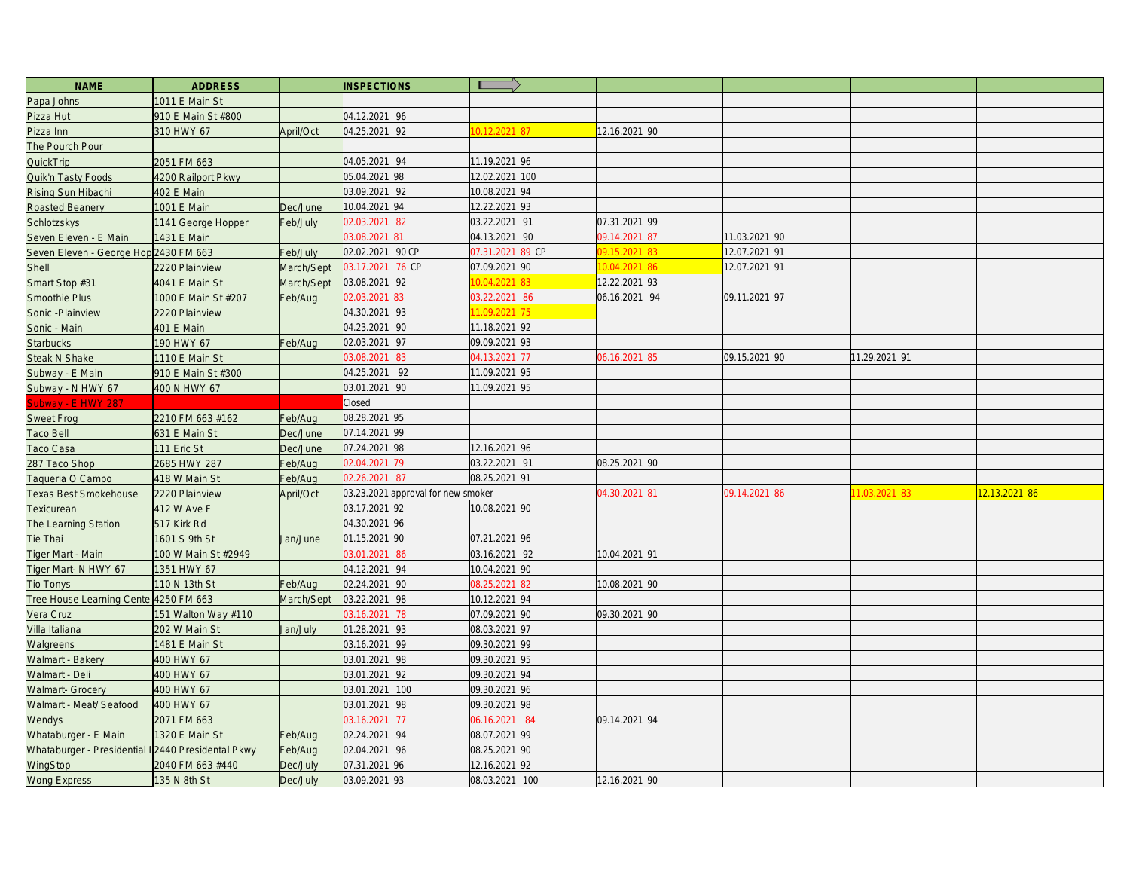| <b>NAME</b>                                       | <b>ADDRESS</b>      |                   | <b>INSPECTIONS</b>                 | $\blacksquare$   |               |               |               |               |
|---------------------------------------------------|---------------------|-------------------|------------------------------------|------------------|---------------|---------------|---------------|---------------|
| Papa Johns                                        | 1011 E Main St      |                   |                                    |                  |               |               |               |               |
| Pizza Hut                                         | 910 E Main St #800  |                   | 04.12.2021 96                      |                  |               |               |               |               |
| Pizza Inn                                         | 310 HWY 67          | April/Oct         | 04.25.2021 92                      | 0.12.2021 87     | 12.16.2021 90 |               |               |               |
| The Pourch Pour                                   |                     |                   |                                    |                  |               |               |               |               |
| QuickTrip                                         | 2051 FM 663         |                   | 04.05.2021 94                      | 11.19.2021 96    |               |               |               |               |
| Quik'n Tasty Foods                                | 4200 Railport Pkwy  |                   | 05.04.2021 98                      | 12.02.2021 100   |               |               |               |               |
| Rising Sun Hibachi                                | 402 E Main          |                   | 03.09.2021 92                      | 10.08.2021 94    |               |               |               |               |
| Roasted Beanery                                   | 1001 E Main         | Dec/June          | 10.04.2021 94                      | 12.22.2021 93    |               |               |               |               |
| Schlotzskys                                       | 1141 George Hopper  | Feb/July          | 02.03.2021 82                      | 03.22.2021 91    | 07.31.2021 99 |               |               |               |
| Seven Eleven - E Main                             | 1431 E Main         |                   | 03.08.2021 81                      | 04.13.2021 90    | 09.14.2021 87 | 11.03.2021 90 |               |               |
| Seven Eleven - George Hop 2430 FM 663             |                     | Feb/July          | 02.02.2021 90 CP                   | 07.31.2021 89 CP | 9.15.2021 83  | 2.07.2021 91  |               |               |
| Shell                                             | 2220 Plainview      | <b>March/Sept</b> | 03.17.2021 76 CP                   | 07.09.2021 90    | 0.04.2021 86  | 2.07.2021 91  |               |               |
| Smart Stop #31                                    | 4041 E Main St      | March/Sept        | 03.08.2021 92                      | 0.04.2021 83     | 12.22.2021 93 |               |               |               |
| Smoothie Plus                                     | 1000 E Main St #207 | Feb/Aug           | 02.03.2021 83                      | 03.22.2021 86    | 06.16.2021 94 | 09.11.2021 97 |               |               |
| Sonic - Plainview                                 | 2220 Plainview      |                   | 04.30.2021 93                      | 1.09.2021 75     |               |               |               |               |
| Sonic - Main                                      | 401 E Main          |                   | 04.23.2021 90                      | 11.18.2021 92    |               |               |               |               |
| <b>Starbucks</b>                                  | 190 HWY 67          | Feb/Aug           | 02.03.2021 97                      | 09.09.2021 93    |               |               |               |               |
| <b>Steak N Shake</b>                              | 1110 E Main St      |                   | 03.08.2021 83                      | 04.13.2021 77    | 06.16.2021 85 | 09.15.2021 90 | 11.29.2021 91 |               |
| Subway - E Main                                   | 910 E Main St #300  |                   | 04.25.2021 92                      | 11.09.2021 95    |               |               |               |               |
| Subway - N HWY 67                                 | 400 N HWY 67        |                   | 03.01.2021 90                      | 11.09.2021 95    |               |               |               |               |
| Subway - E HWY 287                                |                     |                   | <b>Closed</b>                      |                  |               |               |               |               |
| <b>Sweet Frog</b>                                 | 2210 FM 663 #162    | Feb/Aug           | 08.28.2021 95                      |                  |               |               |               |               |
| Taco Bell                                         | 631 E Main St       | Dec/June          | 07.14.2021 99                      |                  |               |               |               |               |
| Taco Casa                                         | 111 Eric St         | Dec/June          | 07.24.2021 98                      | 12.16.2021 96    |               |               |               |               |
| 287 Taco Shop                                     | 2685 HWY 287        | Feb/Aug           | 02.04.2021 79                      | 03.22.2021 91    | 08.25.2021 90 |               |               |               |
| Taqueria O Campo                                  | 418 W Main St       | Feb/Aug           | 02.26.2021 87                      | 08.25.2021 91    |               |               |               |               |
| Texas Best Smokehouse                             | 2220 Plainview      | April/Oct         | 03.23.2021 approval for new smoker |                  | 04.30.2021 81 | 09.14.2021 86 | 1.03.2021 83  | 12.13.2021 86 |
| Texicurean                                        | 412 W Ave F         |                   | 03.17.2021 92                      | 10.08.2021 90    |               |               |               |               |
| The Learning Station                              | 517 Kirk Rd         |                   | 04.30.2021 96                      |                  |               |               |               |               |
| Tie Thai                                          | 1601 S 9th St       | an/June           | 01.15.2021 90                      | 07.21.2021 96    |               |               |               |               |
| Tiger Mart - Main                                 | 100 W Main St #2949 |                   | 03.01.2021 86                      | 03.16.2021 92    | 10.04.2021 91 |               |               |               |
| Tiger Mart- N HWY 67                              | 1351 HWY 67         |                   | 04.12.2021 94                      | 10.04.2021 90    |               |               |               |               |
| <b>Tio Tonys</b>                                  | 110 N 13th St       | Feb/Aug           | 02.24.2021 90                      | 08.25.2021 82    | 10.08.2021 90 |               |               |               |
| Tree House Learning Center 4250 FM 663            |                     | March/Sept        | 03.22.2021 98                      | 10.12.2021 94    |               |               |               |               |
| Vera Cruz                                         | 151 Walton Way #110 |                   | 03.16.2021 78                      | 07.09.2021 90    | 09.30.2021 90 |               |               |               |
| Villa Italiana                                    | 202 W Main St       | an/July           | 01.28.2021 93                      | 08.03.2021 97    |               |               |               |               |
| Walgreens                                         | 1481 E Main St      |                   | 03.16.2021 99                      | 09.30.2021 99    |               |               |               |               |
| Walmart - Bakery                                  | 400 HWY 67          |                   | 03.01.2021 98                      | 09.30.2021 95    |               |               |               |               |
| Walmart - Deli                                    | 400 HWY 67          |                   | 03.01.2021 92                      | 09.30.2021 94    |               |               |               |               |
| <b>Walmart- Grocery</b>                           | 400 HWY 67          |                   | 03.01.2021 100                     | 09.30.2021 96    |               |               |               |               |
| Walmart - Meat/ Seafood                           | 400 HWY 67          |                   | 03.01.2021 98                      | 09.30.2021 98    |               |               |               |               |
| Wendys                                            | 2071 FM 663         |                   | 03.16.2021 77                      | 06.16.2021 84    | 09.14.2021 94 |               |               |               |
| Whataburger - E Main                              | 1320 E Main St      | Feb/Aug           | 02.24.2021 94                      | 08.07.2021 99    |               |               |               |               |
| Whataburger - Presidential I2440 Presidental Pkwy |                     | Feb/Aug           | 02.04.2021 96                      | 08.25.2021 90    |               |               |               |               |
| WingStop                                          | 2040 FM 663 #440    | Dec/July          | 07.31.2021 96                      | 12.16.2021 92    |               |               |               |               |
| <b>Wong Express</b>                               | 135 N 8th St        | Dec/July          | 03.09.2021 93                      | 08.03.2021 100   | 12.16.2021 90 |               |               |               |